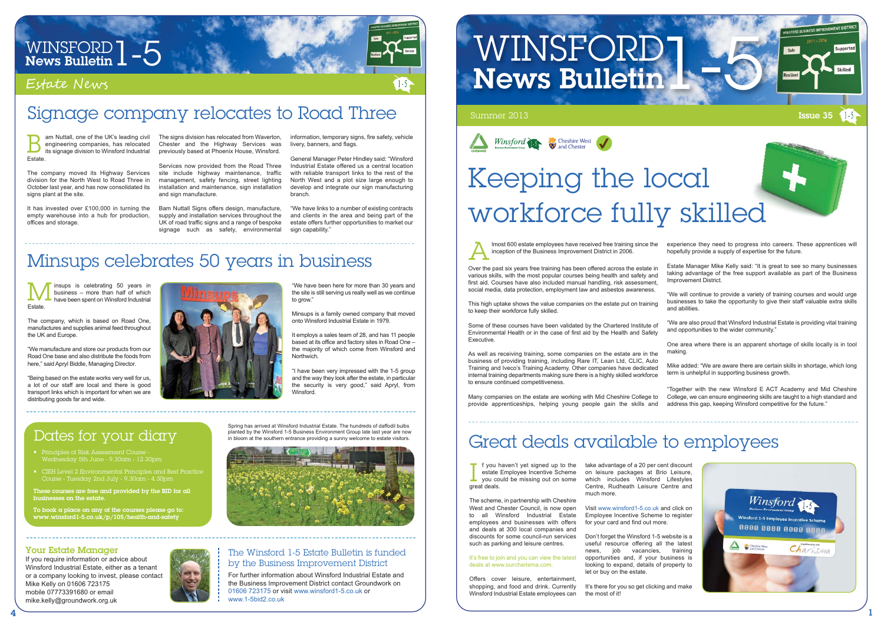

# WINSFORD  $1 - 5$ <br>News Bulletin  $1 - 5$

### Estate News

## Signage company relocates to Road Three

#### The Winsford 1-5 Estate Bulletin is funded by the Business Improvement District

For further information about Winsford Industrial Estate and the Business Improvement District contact Groundwork on 01606 723175 or visit www.winsford1-5.co.uk or www.1-5bid2.co.uk

# WINSFORD 1 News Bulletin



#### Your Estate Manager

- Principles of Risk Assessment Course Wednesday 5th June - 9.30am - 12.30pm
- Course Tuesday 2nd July 9.30am 4.30pm

If you require information or advice about Winsford Industrial Estate, either as a tenant or a company looking to invest, please contact Mike Kelly on 01606 723175 mobile 07773391680 or email mike.kelly@groundwork.org.uk



am Nuttall, one of the UK's leading civil engineering companies, has relocated its signage division to Winsford Industrial  $B_{\text{int}}^{\epsilon}$ Estate.

The company moved its Highway Services division for the North West to Road Three in October last year, and has now consolidated its signs plant at the site.

### Dates for your diary

Services now provided from the Road Three site include highway maintenance, traffic management, safety fencing, street lighting installation and maintenance, sign installation and sign manufacture.

These courses are free and provided by the BID for all businesses on the estate.

Bam Nuttall Signs offers design, manufacture, supply and installation services throughout the UK of road traffic signs and a range of bespoke signage such as safety, environmental

To book a place on any of the courses please go to: www.winsford1-5.co.uk/p/105/health-and-safety

"We have links to a number of existing contracts and clients in the area and being part of the estate offers further opportunities to market our sign capability.

It has invested over £100,000 in turning the empty warehouse into a hub for production, offices and storage.

The signs division has relocated from Waverton, Chester and the Highway Services was previously based at Phoenix House, Winsford.

information, temporary signs, fire safety, vehicle livery, banners, and flags.

General Manager Peter Hindley said: "Winsford Industrial Estate offered us a central location with reliable transport links to the rest of the North West and a plot size large enough to develop and integrate our sign manufacturing branch.

> f you haven't yet signed up to the estate Employee Incentive Scheme you could be missing out on some  $\begin{array}{c} \n\begin{array}{ccc}\n\text{f you h} \\
> \text{estate I} \\
> \text{you co} \\
> \text{great deals}.\n\end{array}\n\end{array}$

lmost 600 estate employees have received free training since the inception of the Business Improvement District in 2006.

> It's there for you so get clicking and make the most of it!

insups is celebrating 50 years in business – more than half of which have been spent on Winsford Industrial M<br>Estate.

This high uptake shows the value companies on the estate put on training to keep their workforce fully skilled.

Some of these courses have been validated by the Chartered Institute of Environmental Health or in the case of first aid by the Health and Safety Executive.

"We have been here for more than 30 years and the site is still serving us really well as we continue to grow."

It employs a sales team of 28, and has 11 people based at its office and factory sites in Road One – the majority of which come from Winsford and **Northwich** 

As well as receiving training, some companies on the estate are in the business of providing training, including Rare IT, Lean Ltd, CLIC, Auto Training and Iveco's Training Academy. Other companies have dedicated internal training departments making sure there is a highly skilled workforce to ensure continued competitiveness.

"I have been very impressed with the 1-5 group and the way they look after the estate, in particular the security is very good," said Apryl, from **Winsford** 

Over the past six years free training has been offered across the estate in various skills, with the most popular courses being health and safety and first aid. Courses have also included manual handling, risk assessment, social media, data protection, employment law and asbestos awareness. Estate Manager Mike Kelly said: "It is great to see so many businesses taking advantage of the free support available as part of the Business Improvement District. A

experience they need to progress into careers. These apprentices will hopefully provide a supply of expertise for the future.

"We will continue to provide a variety of training courses and would urge businesses to take the opportunity to give their staff valuable extra skills and abilities.

Many companies on the estate are working with Mid Cheshire College to provide apprenticeships, helping young people gain the skills and "Together with the new Winsford E ACT Academy and Mid Cheshire College, we can ensure engineering skills are taught to a high standard and address this gap, keeping Winsford competitive for the future."

"We are also proud that Winsford Industrial Estate is providing vital training and opportunities to the wider community."

One area where there is an apparent shortage of skills locally is in tool making.

Mike added: "We are aware there are certain skills in shortage, which long term is unhelpful in supporting business growth.



## Keeping the local workforce fully skilled

The scheme, in partnership with Cheshire West and Chester Council, is now open to all Winsford Industrial Estate employees and businesses with offers and deals at 300 local companies and discounts for some council-run services such as parking and leisure centres.

#### It's free to join and you can view the latest deals at www.ourcharisma.com.

Offers cover leisure, entertainment, shopping, and food and drink. Currently Winsford Industrial Estate employees can

take advantage of a 20 per cent discount on leisure packages at Brio Leisure, which includes Winsford Lifestyles Centre, Rudheath Leisure Centre and much more.

Visit www.winsford1-5.co.uk and click on Employee Incentive Scheme to register for your card and find out more.

Don't forget the Winsford 1-5 website is a useful resource offering all the latest news, job vacancies, training opportunities and, if your business is looking to expand, details of property to let or buy on the estate.

## Great deals available to employees

The company, which is based on Road One, manufactures and supplies animal feed throughout the UK and Europe.

"We manufacture and store our products from our Road One base and also distribute the foods from here," said Apryl Biddle, Managing Director.

"Being based on the estate works very well for us, a lot of our staff are local and there is good transport links which is important for when we are distributing goods far and wide.



Minsups is a family owned company that moved onto Winsford Industrial Estate in 1979.

## Minsups celebrates 50 years in business

Spring has arrived at Winsford Industrial Estate. The hundreds of daffodil bulbs planted by the Winsford 1-5 Business Environment Group late last year are now in bloom at the southern entrance providing a sunny welcome to estate visitors.